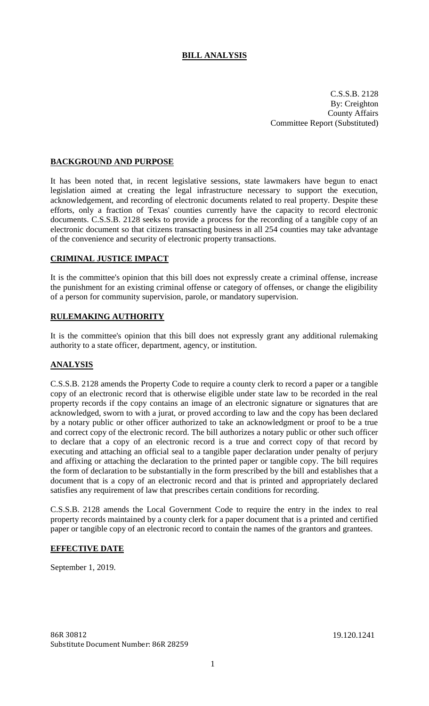# **BILL ANALYSIS**

C.S.S.B. 2128 By: Creighton County Affairs Committee Report (Substituted)

### **BACKGROUND AND PURPOSE**

It has been noted that, in recent legislative sessions, state lawmakers have begun to enact legislation aimed at creating the legal infrastructure necessary to support the execution, acknowledgement, and recording of electronic documents related to real property. Despite these efforts, only a fraction of Texas' counties currently have the capacity to record electronic documents. C.S.S.B. 2128 seeks to provide a process for the recording of a tangible copy of an electronic document so that citizens transacting business in all 254 counties may take advantage of the convenience and security of electronic property transactions.

#### **CRIMINAL JUSTICE IMPACT**

It is the committee's opinion that this bill does not expressly create a criminal offense, increase the punishment for an existing criminal offense or category of offenses, or change the eligibility of a person for community supervision, parole, or mandatory supervision.

### **RULEMAKING AUTHORITY**

It is the committee's opinion that this bill does not expressly grant any additional rulemaking authority to a state officer, department, agency, or institution.

#### **ANALYSIS**

C.S.S.B. 2128 amends the Property Code to require a county clerk to record a paper or a tangible copy of an electronic record that is otherwise eligible under state law to be recorded in the real property records if the copy contains an image of an electronic signature or signatures that are acknowledged, sworn to with a jurat, or proved according to law and the copy has been declared by a notary public or other officer authorized to take an acknowledgment or proof to be a true and correct copy of the electronic record. The bill authorizes a notary public or other such officer to declare that a copy of an electronic record is a true and correct copy of that record by executing and attaching an official seal to a tangible paper declaration under penalty of perjury and affixing or attaching the declaration to the printed paper or tangible copy. The bill requires the form of declaration to be substantially in the form prescribed by the bill and establishes that a document that is a copy of an electronic record and that is printed and appropriately declared satisfies any requirement of law that prescribes certain conditions for recording.

C.S.S.B. 2128 amends the Local Government Code to require the entry in the index to real property records maintained by a county clerk for a paper document that is a printed and certified paper or tangible copy of an electronic record to contain the names of the grantors and grantees.

## **EFFECTIVE DATE**

September 1, 2019.